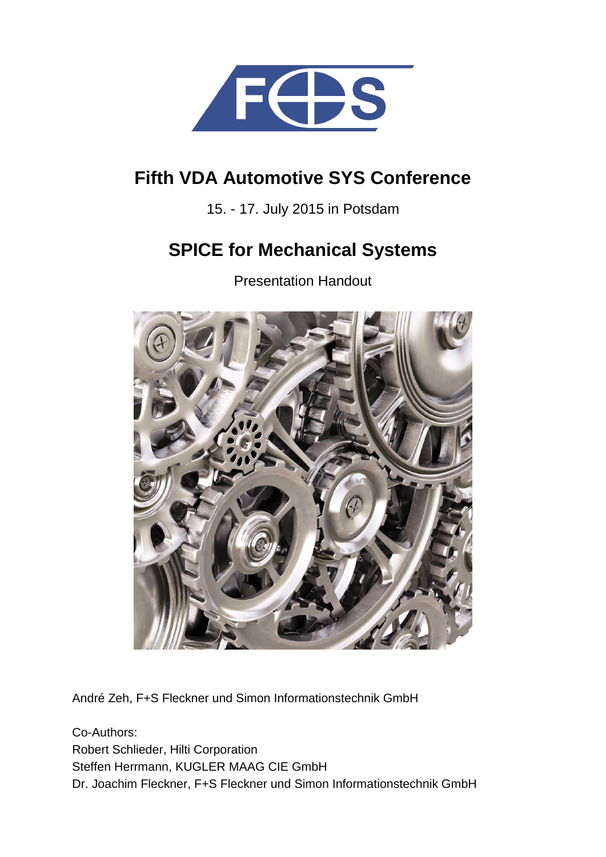

# **Fifth VDA Automotive SYS Conference**

15. - 17. July 2015 in Potsdam

# **SPICE for Mechanical Systems**

Presentation Handout



André Zeh, F+S Fleckner und Simon Informationstechnik GmbH

Co-Authors: Robert Schlieder, Hilti Corporation Steffen Herrmann, KUGLER MAAG CIE GmbH Dr. Joachim Fleckner, F+S Fleckner und Simon Informationstechnik GmbH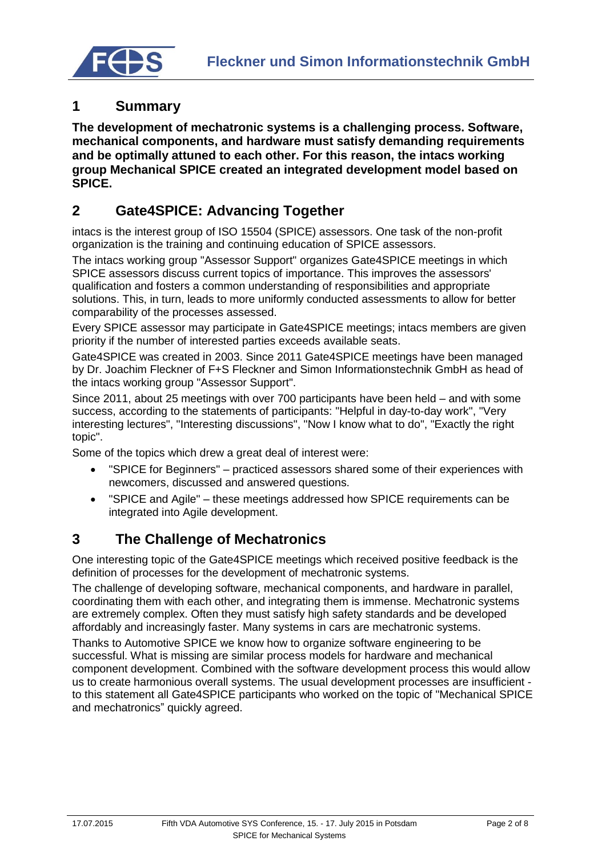

# **1 Summary**

**The development of mechatronic systems is a challenging process. Software, mechanical components, and hardware must satisfy demanding requirements and be optimally attuned to each other. For this reason, the intacs working group Mechanical SPICE created an integrated development model based on SPICE.**

## **2 Gate4SPICE: Advancing Together**

intacs is the interest group of ISO 15504 (SPICE) assessors. One task of the non-profit organization is the training and continuing education of SPICE assessors.

The intacs working group "Assessor Support" organizes Gate4SPICE meetings in which SPICE assessors discuss current topics of importance. This improves the assessors' qualification and fosters a common understanding of responsibilities and appropriate solutions. This, in turn, leads to more uniformly conducted assessments to allow for better comparability of the processes assessed.

Every SPICE assessor may participate in Gate4SPICE meetings; intacs members are given priority if the number of interested parties exceeds available seats.

Gate4SPICE was created in 2003. Since 2011 Gate4SPICE meetings have been managed by Dr. Joachim Fleckner of F+S Fleckner and Simon Informationstechnik GmbH as head of the intacs working group "Assessor Support".

Since 2011, about 25 meetings with over 700 participants have been held – and with some success, according to the statements of participants: "Helpful in day-to-day work", "Very interesting lectures", "Interesting discussions", "Now I know what to do", "Exactly the right topic".

Some of the topics which drew a great deal of interest were:

- "SPICE for Beginners" practiced assessors shared some of their experiences with newcomers, discussed and answered questions.
- "SPICE and Agile" these meetings addressed how SPICE requirements can be integrated into Agile development.

## **3 The Challenge of Mechatronics**

One interesting topic of the Gate4SPICE meetings which received positive feedback is the definition of processes for the development of mechatronic systems.

The challenge of developing software, mechanical components, and hardware in parallel, coordinating them with each other, and integrating them is immense. Mechatronic systems are extremely complex. Often they must satisfy high safety standards and be developed affordably and increasingly faster. Many systems in cars are mechatronic systems.

Thanks to Automotive SPICE we know how to organize software engineering to be successful. What is missing are similar process models for hardware and mechanical component development. Combined with the software development process this would allow us to create harmonious overall systems. The usual development processes are insufficient to this statement all Gate4SPICE participants who worked on the topic of "Mechanical SPICE and mechatronics" quickly agreed.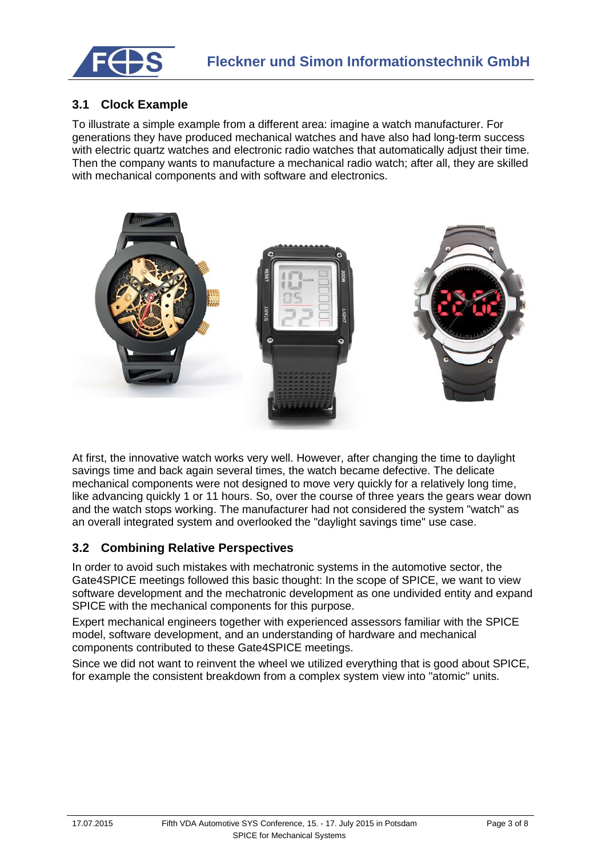

## **3.1 Clock Example**

To illustrate a simple example from a different area: imagine a watch manufacturer. For generations they have produced mechanical watches and have also had long-term success with electric quartz watches and electronic radio watches that automatically adjust their time. Then the company wants to manufacture a mechanical radio watch; after all, they are skilled with mechanical components and with software and electronics.



At first, the innovative watch works very well. However, after changing the time to daylight savings time and back again several times, the watch became defective. The delicate mechanical components were not designed to move very quickly for a relatively long time, like advancing quickly 1 or 11 hours. So, over the course of three years the gears wear down and the watch stops working. The manufacturer had not considered the system "watch" as an overall integrated system and overlooked the "daylight savings time" use case.

#### **3.2 Combining Relative Perspectives**

In order to avoid such mistakes with mechatronic systems in the automotive sector, the Gate4SPICE meetings followed this basic thought: In the scope of SPICE, we want to view software development and the mechatronic development as one undivided entity and expand SPICE with the mechanical components for this purpose.

Expert mechanical engineers together with experienced assessors familiar with the SPICE model, software development, and an understanding of hardware and mechanical components contributed to these Gate4SPICE meetings.

Since we did not want to reinvent the wheel we utilized everything that is good about SPICE, for example the consistent breakdown from a complex system view into "atomic" units.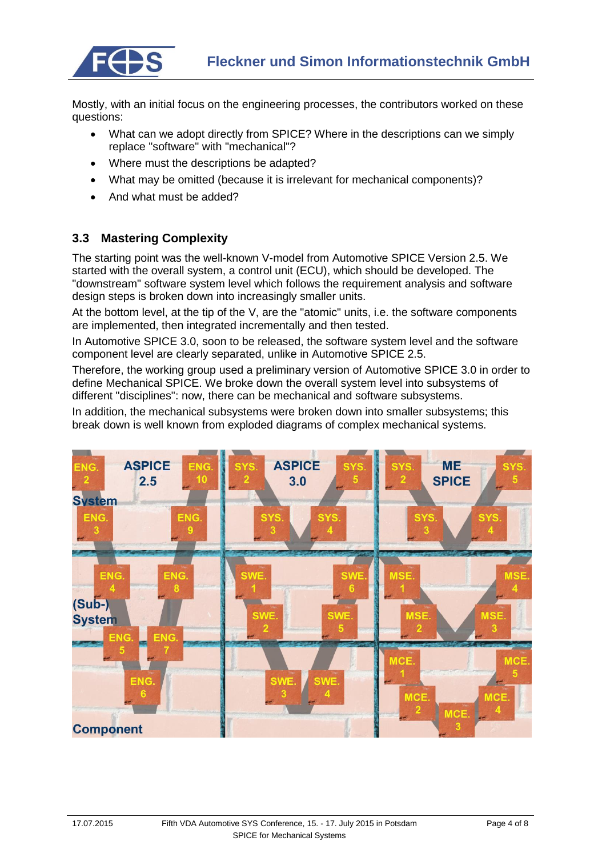

Mostly, with an initial focus on the engineering processes, the contributors worked on these questions:

- What can we adopt directly from SPICE? Where in the descriptions can we simply replace "software" with "mechanical"?
- Where must the descriptions be adapted?
- What may be omitted (because it is irrelevant for mechanical components)?
- And what must be added?

#### **3.3 Mastering Complexity**

The starting point was the well-known V-model from Automotive SPICE Version 2.5. We started with the overall system, a control unit (ECU), which should be developed. The "downstream" software system level which follows the requirement analysis and software design steps is broken down into increasingly smaller units.

At the bottom level, at the tip of the V, are the "atomic" units, i.e. the software components are implemented, then integrated incrementally and then tested.

In Automotive SPICE 3.0, soon to be released, the software system level and the software component level are clearly separated, unlike in Automotive SPICE 2.5.

Therefore, the working group used a preliminary version of Automotive SPICE 3.0 in order to define Mechanical SPICE. We broke down the overall system level into subsystems of different "disciplines": now, there can be mechanical and software subsystems.

In addition, the mechanical subsystems were broken down into smaller subsystems; this break down is well known from exploded diagrams of complex mechanical systems.

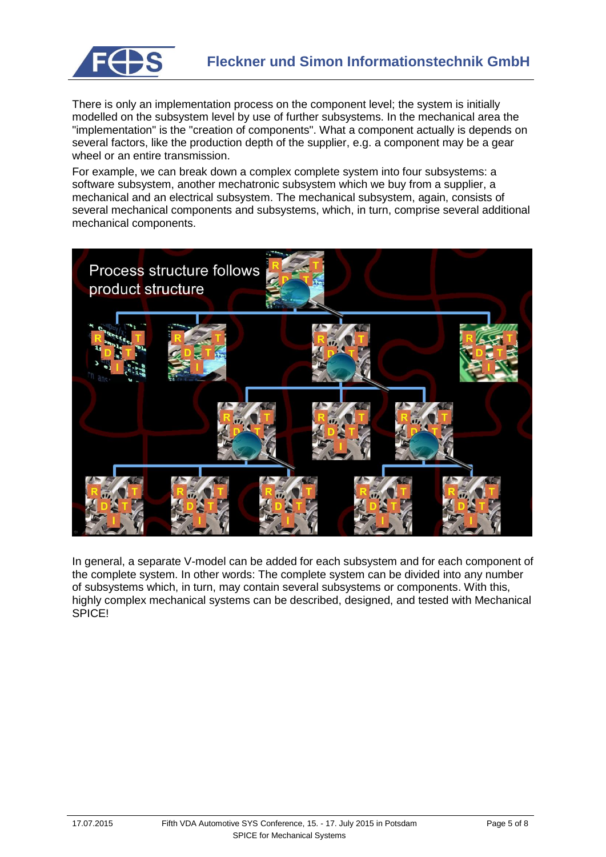

There is only an implementation process on the component level; the system is initially modelled on the subsystem level by use of further subsystems. In the mechanical area the "implementation" is the "creation of components". What a component actually is depends on several factors, like the production depth of the supplier, e.g. a component may be a gear wheel or an entire transmission.

For example, we can break down a complex complete system into four subsystems: a software subsystem, another mechatronic subsystem which we buy from a supplier, a mechanical and an electrical subsystem. The mechanical subsystem, again, consists of several mechanical components and subsystems, which, in turn, comprise several additional mechanical components.



In general, a separate V-model can be added for each subsystem and for each component of the complete system. In other words: The complete system can be divided into any number of subsystems which, in turn, may contain several subsystems or components. With this, highly complex mechanical systems can be described, designed, and tested with Mechanical SPICE!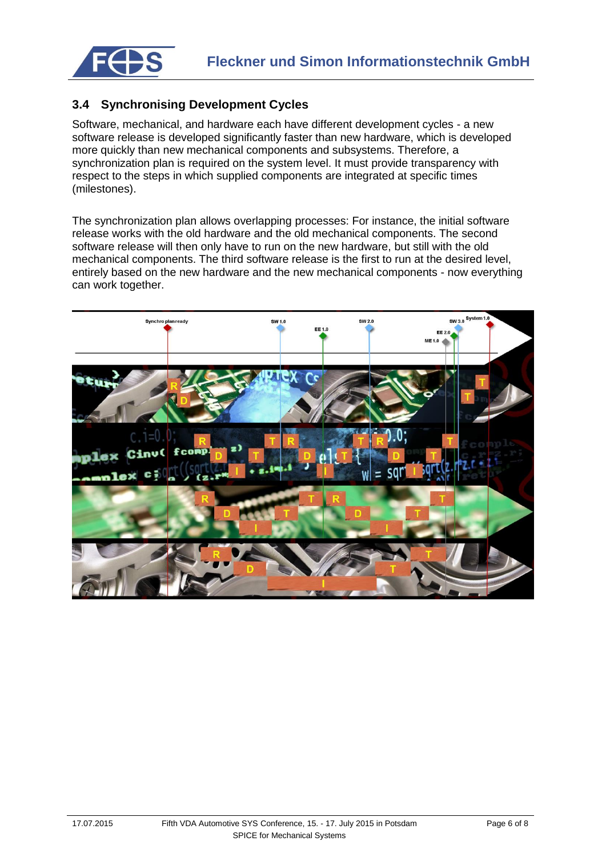

## **3.4 Synchronising Development Cycles**

Software, mechanical, and hardware each have different development cycles - a new software release is developed significantly faster than new hardware, which is developed more quickly than new mechanical components and subsystems. Therefore, a synchronization plan is required on the system level. It must provide transparency with respect to the steps in which supplied components are integrated at specific times (milestones).

The synchronization plan allows overlapping processes: For instance, the initial software release works with the old hardware and the old mechanical components. The second software release will then only have to run on the new hardware, but still with the old mechanical components. The third software release is the first to run at the desired level, entirely based on the new hardware and the new mechanical components - now everything can work together.

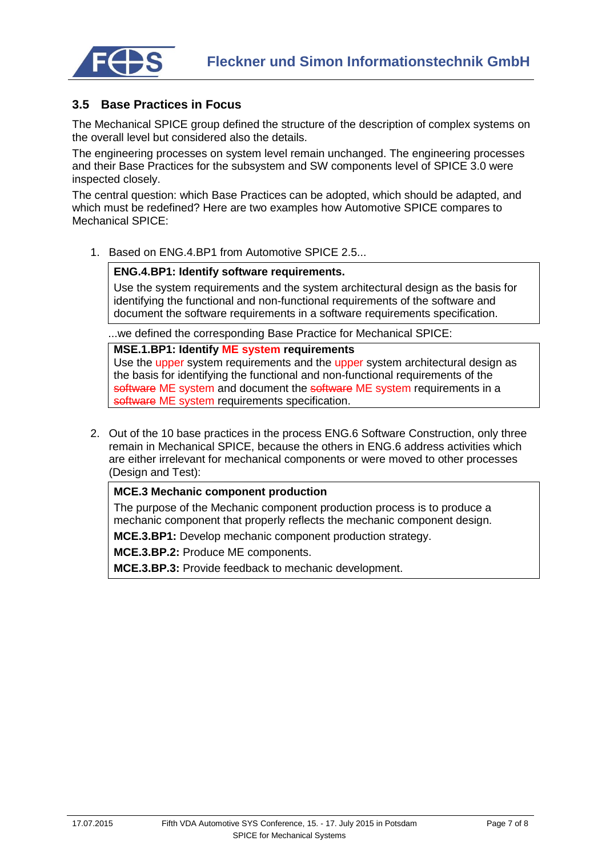

#### **3.5 Base Practices in Focus**

The Mechanical SPICE group defined the structure of the description of complex systems on the overall level but considered also the details.

The engineering processes on system level remain unchanged. The engineering processes and their Base Practices for the subsystem and SW components level of SPICE 3.0 were inspected closely.

The central question: which Base Practices can be adopted, which should be adapted, and which must be redefined? Here are two examples how Automotive SPICE compares to Mechanical SPICE:

1. Based on ENG.4.BP1 from Automotive SPICE 2.5...

#### **ENG.4.BP1: Identify software requirements.**

Use the system requirements and the system architectural design as the basis for identifying the functional and non-functional requirements of the software and document the software requirements in a software requirements specification.

...we defined the corresponding Base Practice for Mechanical SPICE:

#### **MSE.1.BP1: Identify ME system requirements**

Use the upper system requirements and the upper system architectural design as the basis for identifying the functional and non-functional requirements of the software ME system and document the software ME system requirements in a software ME system requirements specification.

2. Out of the 10 base practices in the process ENG.6 Software Construction, only three remain in Mechanical SPICE, because the others in ENG.6 address activities which are either irrelevant for mechanical components or were moved to other processes (Design and Test):

#### **MCE.3 Mechanic component production**

The purpose of the Mechanic component production process is to produce a mechanic component that properly reflects the mechanic component design.

**MCE.3.BP1:** Develop mechanic component production strategy.

**MCE.3.BP.2:** Produce ME components.

**MCE.3.BP.3:** Provide feedback to mechanic development.